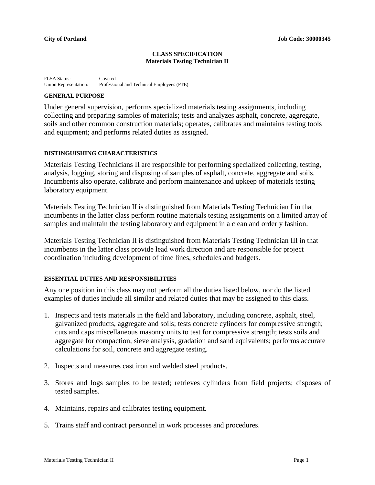#### **CLASS SPECIFICATION Materials Testing Technician II**

FLSA Status: Covered<br>Union Representation: Professic Professional and Technical Employees (PTE)

### **GENERAL PURPOSE**

Under general supervision, performs specialized materials testing assignments, including collecting and preparing samples of materials; tests and analyzes asphalt, concrete, aggregate, soils and other common construction materials; operates, calibrates and maintains testing tools and equipment; and performs related duties as assigned.

## **DISTINGUISHING CHARACTERISTICS**

Materials Testing Technicians II are responsible for performing specialized collecting, testing, analysis, logging, storing and disposing of samples of asphalt, concrete, aggregate and soils. Incumbents also operate, calibrate and perform maintenance and upkeep of materials testing laboratory equipment.

Materials Testing Technician II is distinguished from Materials Testing Technician I in that incumbents in the latter class perform routine materials testing assignments on a limited array of samples and maintain the testing laboratory and equipment in a clean and orderly fashion.

Materials Testing Technician II is distinguished from Materials Testing Technician III in that incumbents in the latter class provide lead work direction and are responsible for project coordination including development of time lines, schedules and budgets.

#### **ESSENTIAL DUTIES AND RESPONSIBILITIES**

Any one position in this class may not perform all the duties listed below, nor do the listed examples of duties include all similar and related duties that may be assigned to this class.

- 1. Inspects and tests materials in the field and laboratory, including concrete, asphalt, steel, galvanized products, aggregate and soils; tests concrete cylinders for compressive strength; cuts and caps miscellaneous masonry units to test for compressive strength; tests soils and aggregate for compaction, sieve analysis, gradation and sand equivalents; performs accurate calculations for soil, concrete and aggregate testing.
- 2. Inspects and measures cast iron and welded steel products.
- 3. Stores and logs samples to be tested; retrieves cylinders from field projects; disposes of tested samples.
- 4. Maintains, repairs and calibrates testing equipment.
- 5. Trains staff and contract personnel in work processes and procedures.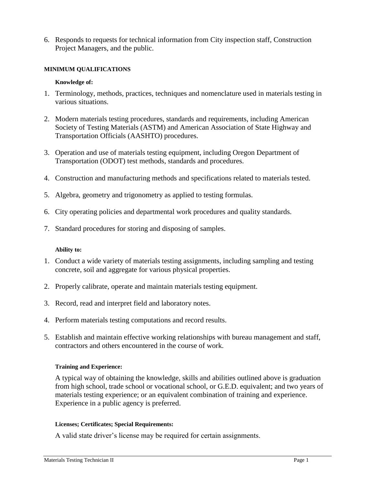6. Responds to requests for technical information from City inspection staff, Construction Project Managers, and the public.

## **MINIMUM QUALIFICATIONS**

### **Knowledge of:**

- 1. Terminology, methods, practices, techniques and nomenclature used in materials testing in various situations.
- 2. Modern materials testing procedures, standards and requirements, including American Society of Testing Materials (ASTM) and American Association of State Highway and Transportation Officials (AASHTO) procedures.
- 3. Operation and use of materials testing equipment, including Oregon Department of Transportation (ODOT) test methods, standards and procedures.
- 4. Construction and manufacturing methods and specifications related to materials tested.
- 5. Algebra, geometry and trigonometry as applied to testing formulas.
- 6. City operating policies and departmental work procedures and quality standards.
- 7. Standard procedures for storing and disposing of samples.

#### **Ability to:**

- 1. Conduct a wide variety of materials testing assignments, including sampling and testing concrete, soil and aggregate for various physical properties.
- 2. Properly calibrate, operate and maintain materials testing equipment.
- 3. Record, read and interpret field and laboratory notes.
- 4. Perform materials testing computations and record results.
- 5. Establish and maintain effective working relationships with bureau management and staff, contractors and others encountered in the course of work.

#### **Training and Experience:**

A typical way of obtaining the knowledge, skills and abilities outlined above is graduation from high school, trade school or vocational school, or G.E.D. equivalent; and two years of materials testing experience; or an equivalent combination of training and experience. Experience in a public agency is preferred.

#### **Licenses; Certificates; Special Requirements:**

A valid state driver's license may be required for certain assignments.